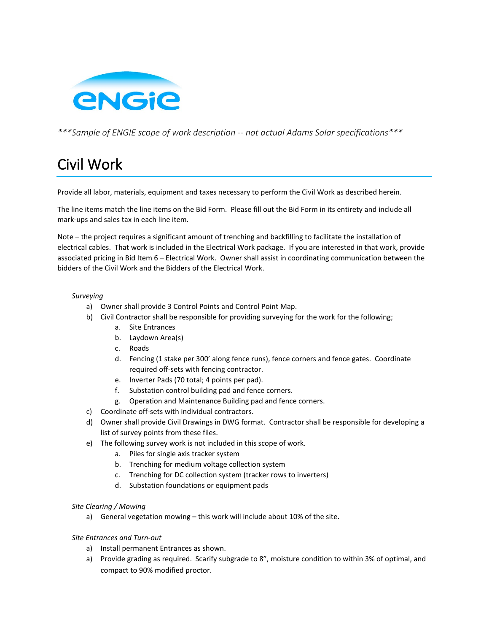

*\*\*\*Sample of ENGIE scope of work description -- not actual Adams Solar specifications\*\*\**

# Civil Work

Provide all labor, materials, equipment and taxes necessary to perform the Civil Work as described herein.

The line items match the line items on the Bid Form. Please fill out the Bid Form in its entirety and include all mark-ups and sales tax in each line item.

Note – the project requires a significant amount of trenching and backfilling to facilitate the installation of electrical cables. That work is included in the Electrical Work package. If you are interested in that work, provide associated pricing in Bid Item 6 – Electrical Work. Owner shall assist in coordinating communication between the bidders of the Civil Work and the Bidders of the Electrical Work.

### *Surveying*

- a) Owner shall provide 3 Control Points and Control Point Map.
- b) Civil Contractor shall be responsible for providing surveying for the work for the following;
	- a. Site Entrances
	- b. Laydown Area(s)
	- c. Roads
	- d. Fencing (1 stake per 300' along fence runs), fence corners and fence gates. Coordinate required off-sets with fencing contractor.
	- e. Inverter Pads (70 total; 4 points per pad).
	- f. Substation control building pad and fence corners.
	- g. Operation and Maintenance Building pad and fence corners.
- c) Coordinate off-sets with individual contractors.
- d) Owner shall provide Civil Drawings in DWG format. Contractor shall be responsible for developing a list of survey points from these files.
- e) The following survey work is not included in this scope of work.
	- a. Piles for single axis tracker system
	- b. Trenching for medium voltage collection system
	- c. Trenching for DC collection system (tracker rows to inverters)
	- d. Substation foundations or equipment pads

#### *Site Clearing / Mowing*

a) General vegetation mowing – this work will include about 10% of the site.

### *Site Entrances and Turn-out*

- a) Install permanent Entrances as shown.
- a) Provide grading as required. Scarify subgrade to 8", moisture condition to within 3% of optimal, and compact to 90% modified proctor.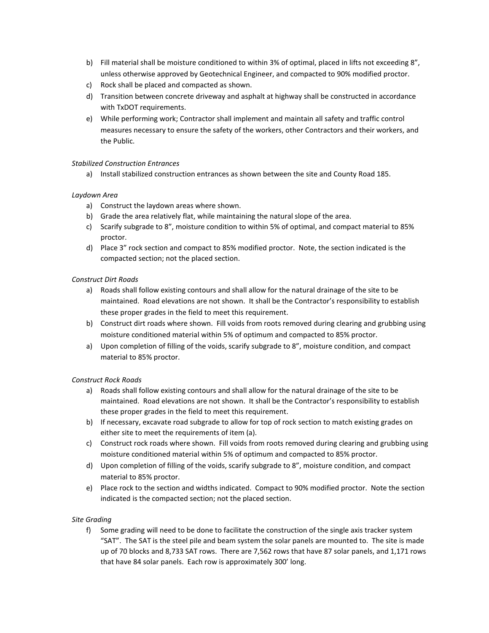- b) Fill material shall be moisture conditioned to within 3% of optimal, placed in lifts not exceeding 8", unless otherwise approved by Geotechnical Engineer, and compacted to 90% modified proctor.
- c) Rock shall be placed and compacted as shown.
- d) Transition between concrete driveway and asphalt at highway shall be constructed in accordance with TxDOT requirements.
- e) While performing work; Contractor shall implement and maintain all safety and traffic control measures necessary to ensure the safety of the workers, other Contractors and their workers, and the Public.

### *Stabilized Construction Entrances*

a) Install stabilized construction entrances as shown between the site and County Road 185.

## *Laydown Area*

- a) Construct the laydown areas where shown.
- b) Grade the area relatively flat, while maintaining the natural slope of the area.
- c) Scarify subgrade to 8", moisture condition to within 5% of optimal, and compact material to 85% proctor.
- d) Place 3" rock section and compact to 85% modified proctor. Note, the section indicated is the compacted section; not the placed section.

## *Construct Dirt Roads*

- a) Roads shall follow existing contours and shall allow for the natural drainage of the site to be maintained. Road elevations are not shown. It shall be the Contractor's responsibility to establish these proper grades in the field to meet this requirement.
- b) Construct dirt roads where shown. Fill voids from roots removed during clearing and grubbing using moisture conditioned material within 5% of optimum and compacted to 85% proctor.
- a) Upon completion of filling of the voids, scarify subgrade to 8", moisture condition, and compact material to 85% proctor.

### *Construct Rock Roads*

- a) Roads shall follow existing contours and shall allow for the natural drainage of the site to be maintained. Road elevations are not shown. It shall be the Contractor's responsibility to establish these proper grades in the field to meet this requirement.
- b) If necessary, excavate road subgrade to allow for top of rock section to match existing grades on either site to meet the requirements of item (a).
- c) Construct rock roads where shown. Fill voids from roots removed during clearing and grubbing using moisture conditioned material within 5% of optimum and compacted to 85% proctor.
- d) Upon completion of filling of the voids, scarify subgrade to 8", moisture condition, and compact material to 85% proctor.
- e) Place rock to the section and widths indicated. Compact to 90% modified proctor. Note the section indicated is the compacted section; not the placed section.

### *Site Grading*

f) Some grading will need to be done to facilitate the construction of the single axis tracker system "SAT". The SAT is the steel pile and beam system the solar panels are mounted to. The site is made up of 70 blocks and 8,733 SAT rows. There are 7,562 rows that have 87 solar panels, and 1,171 rows that have 84 solar panels. Each row is approximately 300' long.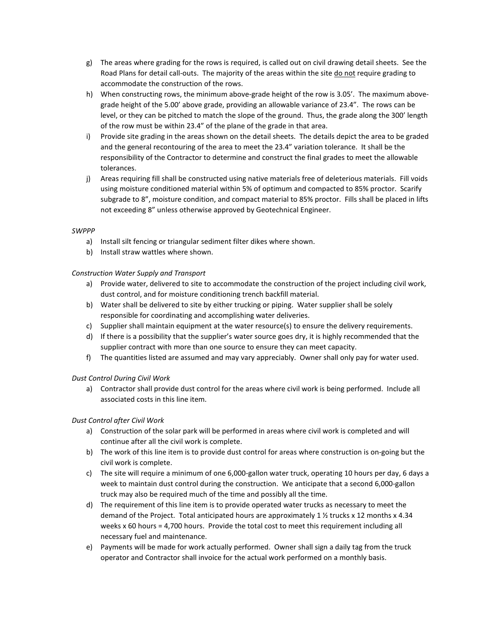- g) The areas where grading for the rows is required, is called out on civil drawing detail sheets. See the Road Plans for detail call-outs. The majority of the areas within the site do not require grading to accommodate the construction of the rows.
- h) When constructing rows, the minimum above-grade height of the row is 3.05'. The maximum abovegrade height of the 5.00' above grade, providing an allowable variance of 23.4". The rows can be level, or they can be pitched to match the slope of the ground. Thus, the grade along the 300' length of the row must be within 23.4" of the plane of the grade in that area.
- i) Provide site grading in the areas shown on the detail sheets. The details depict the area to be graded and the general recontouring of the area to meet the 23.4" variation tolerance. It shall be the responsibility of the Contractor to determine and construct the final grades to meet the allowable tolerances.
- j) Areas requiring fill shall be constructed using native materials free of deleterious materials. Fill voids using moisture conditioned material within 5% of optimum and compacted to 85% proctor. Scarify subgrade to 8", moisture condition, and compact material to 85% proctor. Fills shall be placed in lifts not exceeding 8" unless otherwise approved by Geotechnical Engineer.

### *SWPPP*

- a) Install silt fencing or triangular sediment filter dikes where shown.
- b) Install straw wattles where shown.

## *Construction Water Supply and Transport*

- a) Provide water, delivered to site to accommodate the construction of the project including civil work, dust control, and for moisture conditioning trench backfill material.
- b) Water shall be delivered to site by either trucking or piping. Water supplier shall be solely responsible for coordinating and accomplishing water deliveries.
- c) Supplier shall maintain equipment at the water resource(s) to ensure the delivery requirements.
- d) If there is a possibility that the supplier's water source goes dry, it is highly recommended that the supplier contract with more than one source to ensure they can meet capacity.
- f) The quantities listed are assumed and may vary appreciably. Owner shall only pay for water used.

### *Dust Control During Civil Work*

a) Contractor shall provide dust control for the areas where civil work is being performed. Include all associated costs in this line item.

### *Dust Control after Civil Work*

- a) Construction of the solar park will be performed in areas where civil work is completed and will continue after all the civil work is complete.
- b) The work of this line item is to provide dust control for areas where construction is on-going but the civil work is complete.
- c) The site will require a minimum of one 6,000-gallon water truck, operating 10 hours per day, 6 days a week to maintain dust control during the construction. We anticipate that a second 6,000-gallon truck may also be required much of the time and possibly all the time.
- d) The requirement of this line item is to provide operated water trucks as necessary to meet the demand of the Project. Total anticipated hours are approximately 1  $\frac{1}{2}$  trucks x 12 months x 4.34 weeks x 60 hours = 4,700 hours. Provide the total cost to meet this requirement including all necessary fuel and maintenance.
- e) Payments will be made for work actually performed. Owner shall sign a daily tag from the truck operator and Contractor shall invoice for the actual work performed on a monthly basis.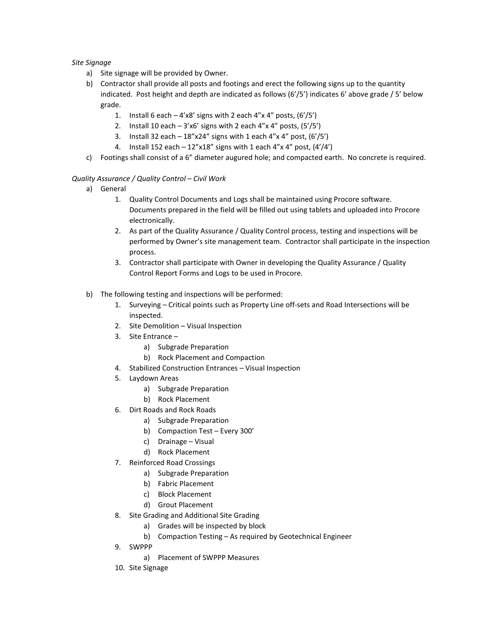### *Site Signage*

- a) Site signage will be provided by Owner.
- b) Contractor shall provide all posts and footings and erect the following signs up to the quantity indicated. Post height and depth are indicated as follows (6'/5') indicates 6' above grade / 5' below grade.
	- 1. Install 6 each  $-4'x8'$  signs with 2 each  $4''x 4''$  posts,  $(6'/5')$
	- 2. Install 10 each  $-3'x6'$  signs with 2 each  $4''x$  4" posts,  $(5'/5')$
	- 3. Install 32 each  $-18''x24''$  signs with 1 each 4"x 4" post,  $(6'/5')$
	- 4. Install 152 each  $-12''x18''$  signs with 1 each 4"x 4" post,  $(4'/4')$
- c) Footings shall consist of a 6" diameter augured hole; and compacted earth. No concrete is required.

## *Quality Assurance / Quality Control – Civil Work*

- a) General
	- 1. Quality Control Documents and Logs shall be maintained using Procore software. Documents prepared in the field will be filled out using tablets and uploaded into Procore electronically.
	- 2. As part of the Quality Assurance / Quality Control process, testing and inspections will be performed by Owner's site management team. Contractor shall participate in the inspection process.
	- 3. Contractor shall participate with Owner in developing the Quality Assurance / Quality Control Report Forms and Logs to be used in Procore.
- b) The following testing and inspections will be performed:
	- 1. Surveying Critical points such as Property Line off-sets and Road Intersections will be inspected.
	- 2. Site Demolition Visual Inspection
	- 3. Site Entrance
		- a) Subgrade Preparation
		- b) Rock Placement and Compaction
	- 4. Stabilized Construction Entrances Visual Inspection
	- 5. Laydown Areas
		- a) Subgrade Preparation
		- b) Rock Placement
	- 6. Dirt Roads and Rock Roads
		- a) Subgrade Preparation
		- b) Compaction Test Every 300'
		- c) Drainage Visual
		- d) Rock Placement
	- 7. Reinforced Road Crossings
		- a) Subgrade Preparation
		- b) Fabric Placement
		- c) Block Placement
		- d) Grout Placement
	- 8. Site Grading and Additional Site Grading
		- a) Grades will be inspected by block
		- b) Compaction Testing As required by Geotechnical Engineer
	- 9. SWPPP
		- a) Placement of SWPPP Measures
	- 10. Site Signage